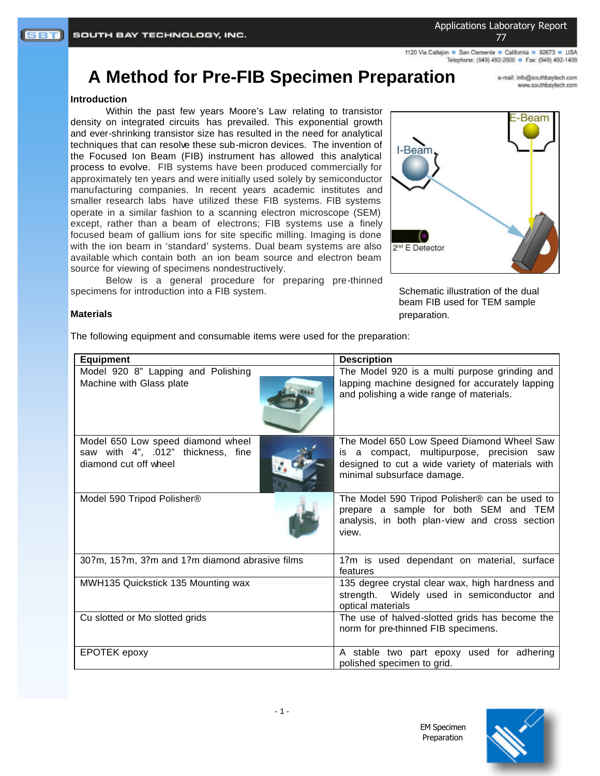Applications Laboratory Report 77

1120 Via Callejon · San Clemente · California · 92673 · USA Telephone: (949) 492-2600 P Fax: (949) 492-1499

# **A Method for Pre-FIB Specimen Preparation**

e-mail: info@southbaytech.com www.southbaytech.com

#### **Introduction**

Within the past few years Moore's Law relating to transistor density on integrated circuits has prevailed. This exponential growth and ever-shrinking transistor size has resulted in the need for analytical techniques that can resolve these sub-micron devices. The invention of the Focused Ion Beam (FIB) instrument has allowed this analytical process to evolve. FIB systems have been produced commercially for approximately ten years and were initially used solely by semiconductor manufacturing companies. In recent years academic institutes and smaller research labs have utilized these FIB systems. FIB systems operate in a similar fashion to a scanning electron microscope (SEM) except, rather than a beam of electrons; FIB systems use a finely focused beam of gallium ions for site specific milling. Imaging is done with the ion beam in 'standard' systems. Dual beam systems are also available which contain both an ion beam source and electron beam source for viewing of specimens nondestructively.

Below is a general procedure for preparing pre-thinned specimens for introduction into a FIB system.



Schematic illustration of the dual beam FIB used for TEM sample preparation.

#### **Materials**

The following equipment and consumable items were used for the preparation:

| <b>Equipment</b>                                                                                 | <b>Description</b>                                                                                                                                                       |
|--------------------------------------------------------------------------------------------------|--------------------------------------------------------------------------------------------------------------------------------------------------------------------------|
| Model 920 8" Lapping and Polishing<br>Machine with Glass plate                                   | The Model 920 is a multi purpose grinding and<br>lapping machine designed for accurately lapping<br>and polishing a wide range of materials.                             |
| Model 650 Low speed diamond wheel<br>saw with 4", .012" thickness, fine<br>diamond cut off wheel | The Model 650 Low Speed Diamond Wheel Saw<br>is a compact, multipurpose, precision saw<br>designed to cut a wide variety of materials with<br>minimal subsurface damage. |
| Model 590 Tripod Polisher®                                                                       | The Model 590 Tripod Polisher® can be used to<br>prepare a sample for both SEM and TEM<br>analysis, in both plan-view and cross section<br>view.                         |
| 30?m, 15?m, 3?m and 1?m diamond abrasive films                                                   | 1?m is used dependant on material, surface<br>features                                                                                                                   |
| MWH135 Quickstick 135 Mounting wax                                                               | 135 degree crystal clear wax, high hardness and<br>strength. Widely used in semiconductor and<br>optical materials                                                       |
| Cu slotted or Mo slotted grids                                                                   | The use of halved-slotted grids has become the<br>norm for pre-thinned FIB specimens.                                                                                    |
| <b>EPOTEK</b> epoxy                                                                              | A stable two part epoxy used for adhering<br>polished specimen to grid.                                                                                                  |



EM Specimen Preparation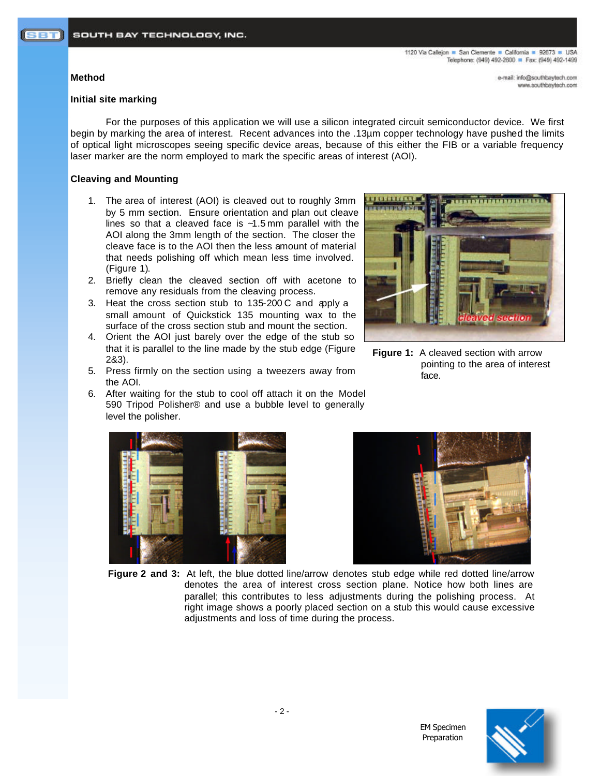#### **Method**

e-mail: info@southbaytech.com www.southbaytech.com

#### **Initial site marking**

For the purposes of this application we will use a silicon integrated circuit semiconductor device. We first begin by marking the area of interest. Recent advances into the .13µm copper technology have pushed the limits of optical light microscopes seeing specific device areas, because of this either the FIB or a variable frequency laser marker are the norm employed to mark the specific areas of interest (AOI).

### **Cleaving and Mounting**

- 1. The area of interest (AOI) is cleaved out to roughly 3mm by 5 mm section. Ensure orientation and plan out cleave lines so that a cleaved face is ~1.5 mm parallel with the AOI along the 3mm length of the section. The closer the cleave face is to the AOI then the less amount of material that needs polishing off which mean less time involved. (Figure 1).
- 2. Briefly clean the cleaved section off with acetone to remove any residuals from the cleaving process.
- 3. Heat the cross section stub to 135-200 C and apply a small amount of Quickstick 135 mounting wax to the surface of the cross section stub and mount the section.
- 4. Orient the AOI just barely over the edge of the stub so that it is parallel to the line made by the stub edge (Figure 2&3).
- 5. Press firmly on the section using a tweezers away from the AOI.
- 6. After waiting for the stub to cool off attach it on the Model 590 Tripod Polisher® and use a bubble level to generally level the polisher.



**Figure 1:** A cleaved section with arrow pointing to the area of interest face.





EM Specimen Preparation

**Figure 2 and 3:** At left, the blue dotted line/arrow denotes stub edge while red dotted line/arrow denotes the area of interest cross section plane. Notice how both lines are parallel; this contributes to less adjustments during the polishing process. At right image shows a poorly placed section on a stub this would cause excessive adjustments and loss of time during the process.



 $-2 -$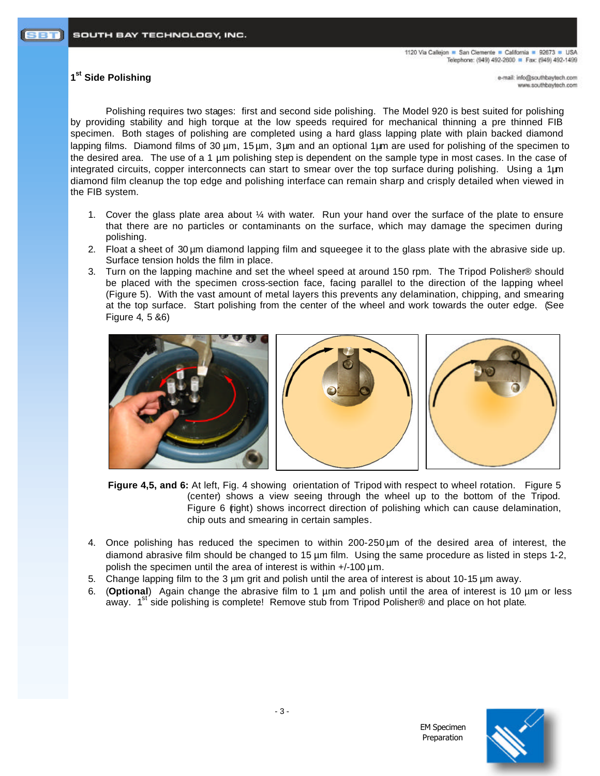# **1 st Side Polishing**

e-mail: info@southbaytech.com www.southbaytech.com

Polishing requires two stages: first and second side polishing. The Model 920 is best suited for polishing by providing stability and high torque at the low speeds required for mechanical thinning a pre thinned FIB specimen. Both stages of polishing are completed using a hard glass lapping plate with plain backed diamond lapping films. Diamond films of 30 µm, 15 µm, 3 µm and an optional 1 µm are used for polishing of the specimen to the desired area. The use of a 1 µm polishing step is dependent on the sample type in most cases. In the case of integrated circuits, copper interconnects can start to smear over the top surface during polishing. Using a  $1 \mu m$ diamond film cleanup the top edge and polishing interface can remain sharp and crisply detailed when viewed in the FIB system.

- 1. Cover the glass plate area about  $\frac{1}{4}$  with water. Run your hand over the surface of the plate to ensure that there are no particles or contaminants on the surface, which may damage the specimen during polishing.
- 2. Float a sheet of 30 µm diamond lapping film and squeegee it to the glass plate with the abrasive side up. Surface tension holds the film in place.
- 3. Turn on the lapping machine and set the wheel speed at around 150 rpm. The Tripod Polisher® should be placed with the specimen cross-section face, facing parallel to the direction of the lapping wheel (Figure 5). With the vast amount of metal layers this prevents any delamination, chipping, and smearing at the top surface. Start polishing from the center of the wheel and work towards the outer edge. (See Figure 4, 5 &6)



**Figure 4,5, and 6:** At left, Fig. 4 showing orientation of Tripod with respect to wheel rotation. Figure 5 (center) shows a view seeing through the wheel up to the bottom of the Tripod. Figure 6 (right) shows incorrect direction of polishing which can cause delamination, chip outs and smearing in certain samples.

- 4. Once polishing has reduced the specimen to within 200-250 µm of the desired area of interest, the diamond abrasive film should be changed to 15 µm film. Using the same procedure as listed in steps 1-2, polish the specimen until the area of interest is within  $+/-100 \mu m$ .
- 5. Change lapping film to the 3 µm grit and polish until the area of interest is about 10-15 µm away.
- 6. (**Optional**) Again change the abrasive film to 1 µm and polish until the area of interest is 10 µm or less away.  $1^{st}$  side polishing is complete! Remove stub from Tripod Polisher® and place on hot plate.



EM Specimen Preparation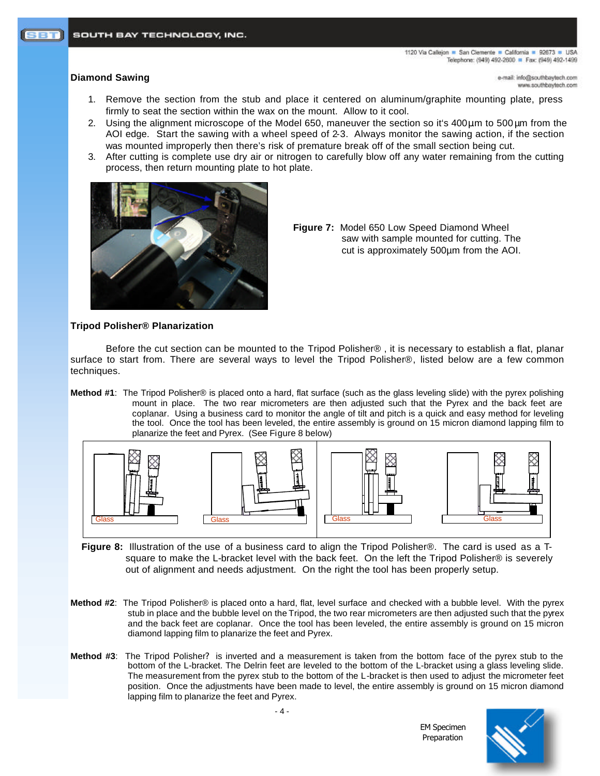### **Diamond Sawing**

e-mail: info@southbaytech.com www.southbaytech.com

- 1. Remove the section from the stub and place it centered on aluminum/graphite mounting plate, press firmly to seat the section within the wax on the mount. Allow to it cool.
- 2. Using the alignment microscope of the Model 650, maneuver the section so it's 400 $\mu$ m to 500 $\mu$ m from the AOI edge. Start the sawing with a wheel speed of 2-3. Always monitor the sawing action, if the section was mounted improperly then there's risk of premature break off of the small section being cut.
- 3. After cutting is complete use dry air or nitrogen to carefully blow off any water remaining from the cutting process, then return mounting plate to hot plate.



**Figure 7:** Model 650 Low Speed Diamond Wheel saw with sample mounted for cutting. The cut is approximately 500µm from the AOI.

## **Tripod Polisher® Planarization**

Before the cut section can be mounted to the Tripod Polisher® , it is necessary to establish a flat, planar surface to start from. There are several ways to level the Tripod Polisher®, listed below are a few common techniques.

**Method #1**: The Tripod Polisher® is placed onto a hard, flat surface (such as the glass leveling slide) with the pyrex polishing mount in place. The two rear micrometers are then adjusted such that the Pyrex and the back feet are coplanar. Using a business card to monitor the angle of tilt and pitch is a quick and easy method for leveling the tool. Once the tool has been leveled, the entire assembly is ground on 15 micron diamond lapping film to planarize the feet and Pyrex. (See Figure 8 below)



- **Figure 8:** Illustration of the use of a business card to align the Tripod Polisher®. The card is used as a Tsquare to make the L-bracket level with the back feet. On the left the Tripod Polisher® is severely out of alignment and needs adjustment. On the right the tool has been properly setup.
- **Method #2**: The Tripod Polisher® is placed onto a hard, flat, level surface and checked with a bubble level. With the pyrex stub in place and the bubble level on the Tripod, the two rear micrometers are then adjusted such that the pyrex and the back feet are coplanar. Once the tool has been leveled, the entire assembly is ground on 15 micron diamond lapping film to planarize the feet and Pyrex.
- **Method #3**: The Tripod Polisher? is inverted and a measurement is taken from the bottom face of the pyrex stub to the bottom of the L-bracket. The Delrin feet are leveled to the bottom of the L-bracket using a glass leveling slide. The measurement from the pyrex stub to the bottom of the L-bracket is then used to adjust the micrometer feet position. Once the adjustments have been made to level, the entire assembly is ground on 15 micron diamond lapping film to planarize the feet and Pyrex.

EM Specimen Preparation

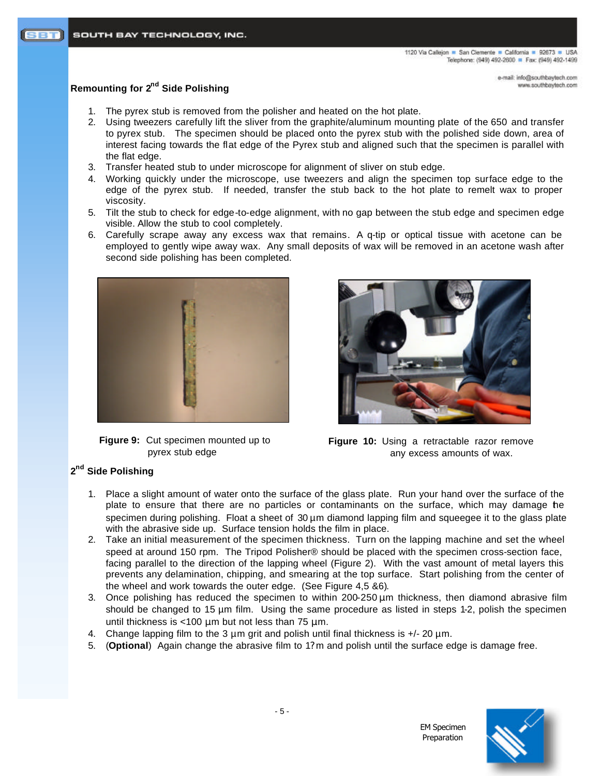> e-mail: info@southbaytech.com www.southbaytech.com

# **Remounting for 2nd Side Polishing**

- 1. The pyrex stub is removed from the polisher and heated on the hot plate.
- 2. Using tweezers carefully lift the sliver from the graphite/aluminum mounting plate of the 650 and transfer to pyrex stub. The specimen should be placed onto the pyrex stub with the polished side down, area of interest facing towards the flat edge of the Pyrex stub and aligned such that the specimen is parallel with the flat edge.
- 3. Transfer heated stub to under microscope for alignment of sliver on stub edge.
- 4. Working quickly under the microscope, use tweezers and align the specimen top surface edge to the edge of the pyrex stub. If needed, transfer the stub back to the hot plate to remelt wax to proper viscosity.
- 5. Tilt the stub to check for edge-to-edge alignment, with no gap between the stub edge and specimen edge visible. Allow the stub to cool completely.
- 6. Carefully scrape away any excess wax that remains. A q-tip or optical tissue with acetone can be employed to gently wipe away wax. Any small deposits of wax will be removed in an acetone wash after second side polishing has been completed.



**Figure 9:** Cut specimen mounted up to pyrex stub edge



**Figure 10:** Using a retractable razor remove any excess amounts of wax.

EM Specimen Preparation

# **2 nd Side Polishing**

- 1. Place a slight amount of water onto the surface of the glass plate. Run your hand over the surface of the plate to ensure that there are no particles or contaminants on the surface, which may damage the specimen during polishing. Float a sheet of 30 µm diamond lapping film and squeegee it to the glass plate with the abrasive side up. Surface tension holds the film in place.
- 2. Take an initial measurement of the specimen thickness. Turn on the lapping machine and set the wheel speed at around 150 rpm. The Tripod Polisher® should be placed with the specimen cross-section face, facing parallel to the direction of the lapping wheel (Figure 2). With the vast amount of metal layers this prevents any delamination, chipping, and smearing at the top surface. Start polishing from the center of the wheel and work towards the outer edge. (See Figure 4,5 &6).
- 3. Once polishing has reduced the specimen to within  $200-250 \,\mu m$  thickness, then diamond abrasive film should be changed to 15 µm film. Using the same procedure as listed in steps 1-2, polish the specimen until thickness is <100  $\mu$ m but not less than 75  $\mu$ m.
- 4. Change lapping film to the 3  $\mu$ m grit and polish until final thickness is  $+/-20 \mu$ m.
- 5. (**Optional**) Again change the abrasive film to 1? m and polish until the surface edge is damage free.